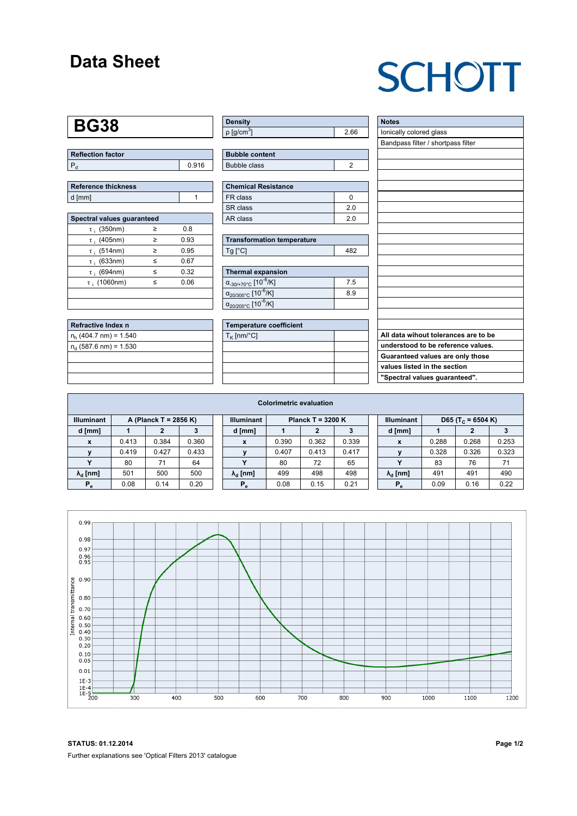### **Data Sheet**

# **SCHOTT**

### **BG38**

| Reflection factor |       |
|-------------------|-------|
| l P               | 0.916 |

| Reference thickness |  |
|---------------------|--|
| d [mm]              |  |

| Spectral values quaranteed |   |      |  |  |  |  |  |  |  |
|----------------------------|---|------|--|--|--|--|--|--|--|
| $\tau$ ; (350nm)           | ≥ | 0.8  |  |  |  |  |  |  |  |
| $\tau$ ; (405nm)           | ≥ | 0.93 |  |  |  |  |  |  |  |
| $\tau$ ; (514nm)           | > | 0.95 |  |  |  |  |  |  |  |
| $\tau$ ; (633nm)           | ≤ | 0.67 |  |  |  |  |  |  |  |
| $\tau$ ; (694nm)           | < | 0.32 |  |  |  |  |  |  |  |
| $\tau$ (1060nm)            | < | 0.06 |  |  |  |  |  |  |  |
|                            |   |      |  |  |  |  |  |  |  |
|                            |   |      |  |  |  |  |  |  |  |

| Refractive Index n       |  |
|--------------------------|--|
| $n_h$ (404.7 nm) = 1.540 |  |
| $n_a$ (587.6 nm) = 1.530 |  |
|                          |  |
|                          |  |
|                          |  |

| <b>Density</b>           |      |
|--------------------------|------|
| $p$ [g/cm <sup>3</sup> ] | 2.66 |

| <b>Bubble content</b> |  |
|-----------------------|--|
| Bubble class          |  |

| Chemical Resistance |    |  |  |  |  |  |
|---------------------|----|--|--|--|--|--|
| FR class            |    |  |  |  |  |  |
| SR class            | 20 |  |  |  |  |  |
| l AR class          | 20 |  |  |  |  |  |

| <b>Transformation temperature</b> |     |
|-----------------------------------|-----|
| $Ta$ $C1$                         | 182 |

| Thermal expansion                                 |     |
|---------------------------------------------------|-----|
| $\alpha_{.30/+70\degree}$ C [10 <sup>-6</sup> /K] | 7.5 |
| $\alpha_{20/300^{\circ}C}$ [10 <sup>-6</sup> /K]  | 8.9 |
| $\alpha_{20/200^{\circ}C}$ [10 <sup>-6</sup> /K]  |     |

| Temperature coefficient |  |
|-------------------------|--|
| $T_{\rm K}$ [nm/°C]     |  |
|                         |  |
|                         |  |
|                         |  |
|                         |  |

| <b>Notes</b>                         |
|--------------------------------------|
| lonically colored glass              |
| Bandpass filter / shortpass filter   |
|                                      |
|                                      |
|                                      |
|                                      |
|                                      |
|                                      |
|                                      |
|                                      |
|                                      |
|                                      |
|                                      |
|                                      |
|                                      |
|                                      |
|                                      |
|                                      |
|                                      |
| All data wihout tolerances are to be |
| understood to be reference values.   |
| Guaranteed values are only those     |
| values listed in the section         |
| "Spectral values guaranteed".        |

| <b>Colorimetric evaluation</b> |                       |       |       |  |                        |                     |       |       |  |                        |                               |       |       |
|--------------------------------|-----------------------|-------|-------|--|------------------------|---------------------|-------|-------|--|------------------------|-------------------------------|-------|-------|
| <b>Illuminant</b>              | A (Planck T = 2856 K) |       |       |  | <b>Illuminant</b>      | Planck T = $3200 K$ |       |       |  | <b>Illuminant</b>      | D65 (T <sub>c</sub> = 6504 K) |       |       |
| d [mm]                         |                       |       | з     |  | d [mm]                 |                     |       |       |  | d [mm]                 |                               | 2     |       |
| X                              | 0.413                 | 0.384 | 0.360 |  | X                      | 0.390               | 0.362 | 0.339 |  | X                      | 0.288                         | 0.268 | 0.253 |
|                                | 0.419                 | 0.427 | 0.433 |  |                        | 0.407               | 0.413 | 0.417 |  |                        | 0.328                         | 0.326 | 0.323 |
|                                | 80                    | 71    | 64    |  |                        | 80                  | 72    | 65    |  |                        | 83                            | 76    | 71    |
| $\lambda_{\rm d}$ [nm]         | 501                   | 500   | 500   |  | $\lambda_{\rm d}$ [nm] | 499                 | 498   | 498   |  | $\lambda_{\rm d}$ [nm] | 491                           | 491   | 490   |
| $P_e$                          | 0.08                  | 0.14  | 0.20  |  | $P_e$                  | 0.08                | 0.15  | 0.21  |  | $P_e$                  | 0.09                          | 0.16  | 0.22  |
|                                |                       |       |       |  |                        |                     |       |       |  |                        |                               |       |       |



**STATUS: 01.12.2014 Page 1/2** Further explanations see 'Optical Filters 2013' catalogue